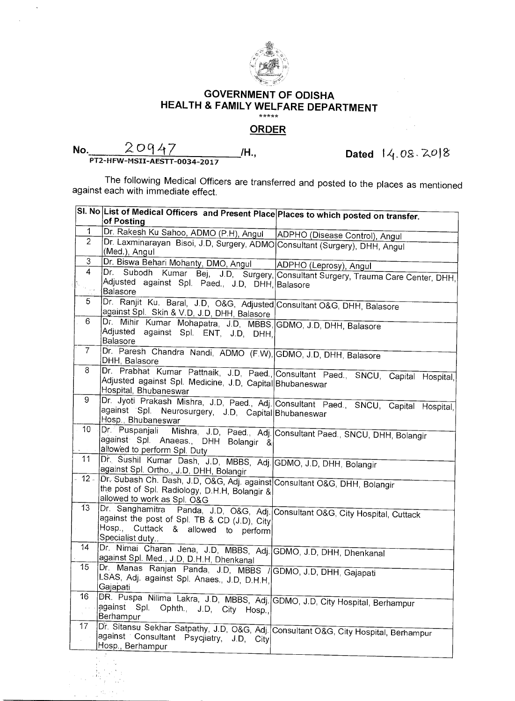

## **GOVERNMENT OF ODISHA HEALTH & FAMILY WELFARE DEPARTMENT**

## **ORDER**

| No. | 20947                        |  |
|-----|------------------------------|--|
|     | PT2-HFW-MSII-AESTT-0034-2017 |  |

 $\sim$ 

**b**ated 14.08.2018

The following Medical Officers are transferred and posted to the places as mentioned against each with immediate effect.

|                            | SI. No  List of Medical Officers and Present Place Places to which posted on transfer.                                |                                                                                      |
|----------------------------|-----------------------------------------------------------------------------------------------------------------------|--------------------------------------------------------------------------------------|
|                            | of Posting                                                                                                            |                                                                                      |
| $\mathbf 1$                | Dr. Rakesh Ku Sahoo, ADMO (P.H), Angul   ADPHO (Disease Control), Angul                                               |                                                                                      |
| $\overline{2}$             | Dr. Laxminarayan Bisoi, J.D, Surgery, ADMO Consultant (Surgery), DHH, Angul<br>(Med.), Angul                          |                                                                                      |
| 3                          | <u>Dr. Biswa Behari Mohanty, DMO, Angul</u>                                                                           | ADPHO (Leprosy), Angul                                                               |
| $\overline{4}$             |                                                                                                                       | Dr. Subodh Kumar Bej, J.D, Surgery, Consultant Surgery, Trauma Care Center, DHH,     |
| $\mathcal{F}_{\text{max}}$ | Adjusted against Spl. Paed., J.D, DHH, Balasore<br>Balasore                                                           |                                                                                      |
| 5.                         | Dr. Ranjit Ku. Baral, J.D, O&G, Adjusted Consultant O&G, DHH, Balasore                                                |                                                                                      |
|                            | against Spl. Skin & V.D, J.D, DHH, Balasore                                                                           |                                                                                      |
| 6                          | Dr. Mihir Kumar Mohapatra, J.D, MBBS, GDMO, J.D, DHH, Balasore                                                        |                                                                                      |
|                            | Adjusted against Spl. ENT, J.D, DHH,<br>Balasore                                                                      |                                                                                      |
| $\overline{7}$             | Dr. Paresh Chandra Nandi, ADMO (F.W), GDMO, J.D, DHH, Balasore                                                        |                                                                                      |
|                            | DHH, Balasore                                                                                                         |                                                                                      |
| 8                          |                                                                                                                       | Dr. Prabhat Kumar Pattnaik, J.D, Paed., Consultant Paed., SNCU, Capital Hospital,    |
|                            | Adjusted against Spl. Medicine, J.D, Capital Bhubaneswar                                                              |                                                                                      |
| 9                          | Hospital, Bhubaneswar                                                                                                 |                                                                                      |
|                            |                                                                                                                       | Dr. Jyoti Prakash Mishra, J.D, Paed., Adj. Consultant Paed., SNCU, Capital Hospital, |
|                            | against Spl. Neurosurgery, J.D, Capital Bhubaneswar<br>Hosp., Bhubaneswar                                             |                                                                                      |
| 10 <sub>1</sub>            |                                                                                                                       |                                                                                      |
|                            | Dr. Puspanjali Mishra, J.D, Paed., Adj. Consultant Paed., SNCU, DHH, Bolangir<br>against Spl. Anaeas., DHH Bolangir & |                                                                                      |
|                            | allowed to perform Spl. Duty                                                                                          |                                                                                      |
| 11                         | Dr. Sushil Kumar Dash, J.D, MBBS, Adj. GDMO, J.D, DHH, Bolangir                                                       |                                                                                      |
|                            | against Spl. Ortho., J.D, DHH, Bolangir                                                                               |                                                                                      |
|                            | 12 Dr. Subash Ch. Dash, J.D, O&G, Adj. against Consultant O&G, DHH, Bolangir                                          |                                                                                      |
|                            | the post of Spl. Radiology, D.H.H, Bolangir &                                                                         |                                                                                      |
| 13                         | allowed to work as Spl. O&G                                                                                           |                                                                                      |
|                            | Dr. Sanghamitra Panda, J.D, O&G, Adj. Consultant O&G, City Hospital, Cuttack                                          |                                                                                      |
|                            | against the post of Spl. TB & CD (J.D), City<br>Hosp., Cuttack & allowed to perform                                   |                                                                                      |
|                            | Specialist duty                                                                                                       |                                                                                      |
| 14                         | Dr. Nimai Charan Jena, J.D, MBBS, Adj. GDMO, J.D, DHH, Dhenkanal                                                      |                                                                                      |
|                            | against Spl. Med., J.D, D.H.H, Dhenkanal                                                                              |                                                                                      |
| 15                         | Dr. Manas Ranjan Panda, J.D, MBBS / GDMO, J.D, DHH, Gajapati                                                          |                                                                                      |
|                            | LSAS, Adj. against Spl. Anaes., J.D, D.H.H,                                                                           |                                                                                      |
| 16                         | Gajapati                                                                                                              |                                                                                      |
|                            | DR. Puspa Nilima Lakra, J.D, MBBS, Adj. GDMO, J.D, City Hospital, Berhampur<br>against Spl.                           |                                                                                      |
|                            | Ophth., J.D, City Hosp.,<br>Berhampur                                                                                 |                                                                                      |
| 17                         | Dr. Sitansu Sekhar Satpathy, J.D. O&G, Adj. Consultant O&G, City Hospital, Berhampur                                  |                                                                                      |
|                            | against Consultant<br>Psycjiatry, J.D.<br>City                                                                        |                                                                                      |
|                            | Hosp., Berhampur                                                                                                      |                                                                                      |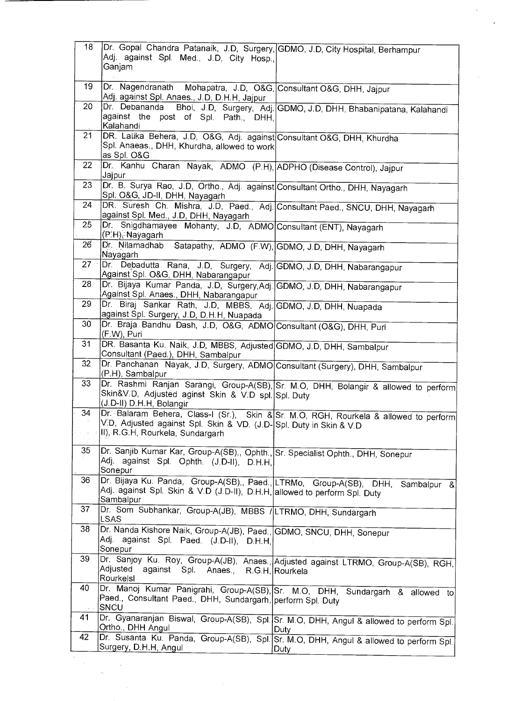| 18              | Dr. Gopal Chandra Patanaik, J.D, Surgery, GDMO, J.D, City Hospital, Berhampur<br>Adj. against Spl. Med., J.D, City Hosp.,<br>Ganjam                           |                                                                                                 |
|-----------------|---------------------------------------------------------------------------------------------------------------------------------------------------------------|-------------------------------------------------------------------------------------------------|
| 19              | Dr. Nagendranath Mohapatra, J.D, O&G, Consultant O&G, DHH, Jajpur<br>Adj. against Spl. Anaes., J.D, D.H.H, Jajpur                                             |                                                                                                 |
| 20              | Dr. Debananda<br>against the post of Spl. Path., DHH,<br>Kalahandi                                                                                            | Bhoi, J.D, Surgery, Adj. GDMO, J.D, DHH, Bhabanipatana, Kalahandi                               |
| $\overline{2}1$ | DR. Latika Behera, J.D., O&G, Adj. against Consultant O&G, DHH, Khurdha<br>Spl. Anaeas., DHH, Khurdha, allowed to work<br>as Spl. O&G                         |                                                                                                 |
| 22              | Dr. Kanhu Charan Nayak, ADMO (P.H), ADPHO (Disease Control), Jajpur<br>Jajpur                                                                                 |                                                                                                 |
| 23              | Dr. B. Surya Rao, J.D. Ortho., Adj. against Consultant Ortho., DHH, Nayagarh<br>Spl. O&G, JD-II, DHH, Nayagarh                                                |                                                                                                 |
| 24              | DR. Suresh Ch. Mishra, J.D, Paed., Adj. Consultant Paed., SNCU, DHH, Nayagarh<br>against Spl. Med., J.D, DHH, Nayagarh                                        |                                                                                                 |
| 25              | Dr. Snigdhamayee Mohanty, J.D, ADMO Consultant (ENT), Nayagarh<br>(P.H), Nayagarh                                                                             |                                                                                                 |
| 26              | Dr. Nilamadhab<br>Nayagarh                                                                                                                                    | Satapathy, ADMO (F.W), GDMO, J.D, DHH, Nayagarh                                                 |
| $27 -$          | Dr. Debadutta Rana, J.D, Surgery, Adj. GDMO, J.D, DHH, Nabarangapur<br>Against Spl. O&G, DHH, Nabarangapur                                                    |                                                                                                 |
| 28              | Dr. Bijaya Kumar Panda, J.D, Surgery, Adj. GDMO, J.D, DHH, Nabarangapur<br>Against Spl. Anaes., DHH, Nabarangapur                                             |                                                                                                 |
| 29              | Dr. Biraj Sankar Rath, J.D, MBBS, Adj. GDMO, J.D, DHH, Nuapada<br>against Spl. Surgery, J.D, D.H.H, Nuapada                                                   |                                                                                                 |
| 30              | Dr. Braja Bandhu Dash, J.D, O&G, ADMO Consultant (O&G), DHH, Puri<br>(F.W), Puri                                                                              |                                                                                                 |
| 31              | DR. Basanta Ku. Naik, J.D, MBBS, Adjusted GDMO, J.D, DHH, Sambalpur<br>Consultant (Paed.), DHH, Sambalpur                                                     |                                                                                                 |
| 32              | Dr. Panchanan Nayak, J.D, Surgery, ADMO Consultant (Surgery), DHH, Sambalpur<br>(P.H), Sambalpur                                                              |                                                                                                 |
| 33              | Skin&V.D, Adjusted aginst Skin & V.D spl. Spl. Duty<br>(J.D-II) D.H.H, Bolangir                                                                               | Dr. Rashmi Ranjan Sarangi, Group-A(SB), Sr. M.O, DHH, Bolangir & allowed to perform             |
| 34<br>a Civi    | V.D. Adjusted against Spl. Skin & VD. (J.D-Spl. Duty in Skin & V.D<br>II), R.G.H, Rourkela, Sundargarh                                                        | Dr. Balaram Behera, Class-I (Sr.), Skin & Sr. M.O. RGH, Rourkela & allowed to perform           |
| 35              | Dr. Sanjib Kumar Kar, Group-A(SB), Ophth., Sr. Specialist Ophth., DHH, Sonepur<br>Adj. against Spl. Ophth. (J.D-II), D.H.H.<br>Sonepur                        |                                                                                                 |
| 36              | Dr. Bijaya Ku. Panda, Group-A(SB), Paed., LTRMo, Group-A(SB), DHH,<br>Adj. against Spl. Skin & V.D (J.D-II), D.H.H, allowed to perform Spl. Duty<br>Sambalpur | Sambalpur &                                                                                     |
| 37              | Dr. Som Subhankar, Group-A(JB), MBBS / LTRMO, DHH, Sundargarh<br><b>LSAS</b>                                                                                  |                                                                                                 |
| 38              | Dr. Nanda Kishore Naik, Group-A(JB), Paed., GDMO, SNCU, DHH, Sonepur<br>Adj. against Spl. Paed. (J.D-II), D.H.H.<br>Sonepur                                   |                                                                                                 |
| 39              | Adjusted<br>against Spl. Anaes., R.G.H, Rourkela<br>Rourkelsl                                                                                                 | Dr. Sanjoy Ku. Roy, Group-A(JB), Anaes., Adjusted against LTRMO, Group-A(SB), RGH,              |
| 40              | Paed., Consultant Paed., DHH, Sundargarh, perform Spl. Duty<br>SNCU                                                                                           | Dr. Manoj Kumar Panigrahi, Group-A(SB), Sr. M.O, DHH, Sundargarh & allowed to                   |
| 41              | Ortho., DHH Angul                                                                                                                                             | Dr. Gyanaranjan Biswal, Group-A(SB), Spl. Sr. M.O, DHH, Angul & allowed to perform Spl.<br>Duty |
| 42              | Surgery, D.H.H. Angul                                                                                                                                         | Dr. Susanta Ku. Panda, Group-A(SB), Spl. Sr. M.O, DHH, Angul & allowed to perform Spl.<br>Duty  |

 $\hat{\boldsymbol{\gamma}}$ 

 $\ddot{\cdot}$ 

 $\frac{1}{\sqrt{2}}$ 

 $\ddot{\phantom{a}}$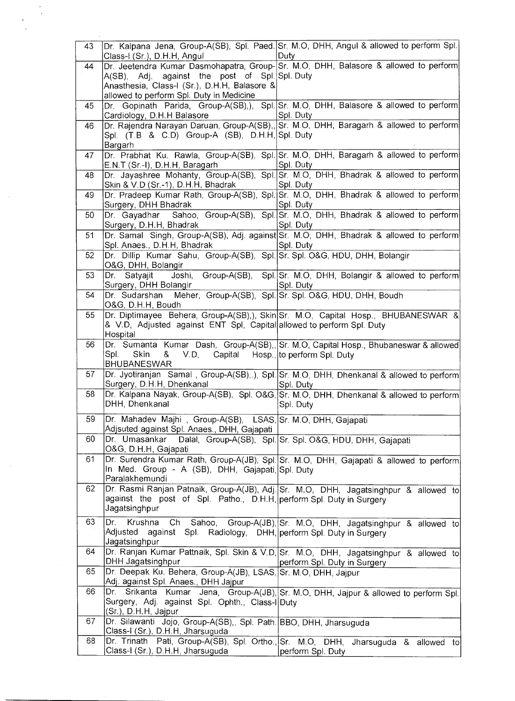| 43 | Class-I (Sr.), D.H.H, Angul                                                                                                                | Dr. Kalpana Jena, Group-A(SB), Spl. Paed. Sr. M.O, DHH, Angul & allowed to perform Spl.<br>Duty                           |
|----|--------------------------------------------------------------------------------------------------------------------------------------------|---------------------------------------------------------------------------------------------------------------------------|
| 44 | A(SB), Adj. against the post of Spl. Spl. Duty<br>Anasthesia, Class-I (Sr.), D.H.H, Balasore &<br>allowed to perform Spl. Duty in Medicine | Dr. Jeetendra Kumar Dasmohapatra, Group-Sr. M.O., DHH, Balasore & allowed to perform                                      |
| 45 | Cardiology, D.H.H Balasore                                                                                                                 | Dr. Gopinath Parida, Group-A(SB),), Spl. Sr. M.O, DHH, Balasore & allowed to perform<br>Spl. Duty                         |
| 46 | Spl. (T.B & C.D) Group-A (SB), D.H.H, Spl. Duty<br>Bargarh                                                                                 | Dr. Rajendra Narayan Daruan, Group-A(SB), Sr. M.O, DHH, Baragarh & allowed to perform                                     |
| 47 | E.N.T (Sr.-I), D.H.H, Baragarh                                                                                                             | Dr. Prabhat Ku. Rawla, Group-A(SB), Spl. Sr. M.O, DHH, Baragarh & allowed to perform<br>Spl. Duty                         |
| 48 | Skin & V.D (Sr.-1), D.H.H, Bhadrak                                                                                                         | Dr. Jayashree Mohanty, Group-A(SB), Spl. Sr. M.O, DHH, Bhadrak & allowed to perform<br>Spl. Duty                          |
| 49 | Surgery, DHH Bhadrak                                                                                                                       | Dr. Pradeep Kumar Rath, Group-A(SB), Spl. Sr. M.O, DHH, Bhadrak & allowed to perform<br>Spl. Duty                         |
| 50 | Surgery, D.H.H, Bhadrak                                                                                                                    | Dr. Gayadhar Sahoo, Group-A(SB), Spl. Sr. M.O, DHH, Bhadrak & allowed to perform<br>Spl. Duty                             |
| 51 | Spl. Anaes., D.H.H, Bhadrak                                                                                                                | Dr. Samal Singh, Group-A(SB), Adj. against Sr. M.O, DHH, Bhadrak & allowed to perform<br>Spl. Duty                        |
| 52 | Dr. Dillip Kumar Sahu, Group-A(SB), Spl. Sr. Spl. O&G, HDU, DHH, Bolangir<br>O&G, DHH, Bolangir                                            |                                                                                                                           |
| 53 | Surgery, DHH Bolangir                                                                                                                      | Dr. Satyajit Joshi, Group-A(SB), Spl. Sr. M.O. DHH, Bolangir & allowed to perform<br>Spl. Duty                            |
| 54 | O&G, D.H.H, Boudh                                                                                                                          |                                                                                                                           |
| 55 | & V.D, Adjusted against ENT Spl, Capital allowed to perform Spl. Duty<br>Hospital                                                          | Dr. Diptimayee Behera, Group-A(SB),), Skin Sr. M.O, Capital Hosp., BHUBANESWAR &                                          |
| 56 | Spl.<br>Skin<br>&<br>V.D,<br><b>BHUBANESWAR</b>                                                                                            | Dr. Sumanta Kumar Dash, Group-A(SB), Sr. M.O, Capital Hosp., Bhubaneswar & allowed<br>Capital Hosp., to perform Spl. Duty |
| 57 | Surgery, D.H.H, Dhenkanal                                                                                                                  | Dr. Jyotiranjan Samal, Group-A(SB), ), Spl. Sr. M.O, DHH, Dhenkanal & allowed to perform<br>Spl. Duty                     |
| 58 | DHH, Dhenkanal                                                                                                                             | Dr. Kalpana Nayak, Group-A(SB), Spl. O&G, Sr. M.O, DHH, Dhenkanal & allowed to perform<br>Spl. Duty                       |
| 59 | Dr. Mahadev Majhi, Group-A(SB), LSAS, Sr. M.O, DHH, Gajapati<br>Adjsuted against Spl. Anaes., DHH, Gajapati                                |                                                                                                                           |
| 60 | Dr. Umasankar<br>O&G, D.H.H, Gajapati                                                                                                      | Dalal, Group-A(SB), Spl. Sr. Spl. O&G, HDU, DHH, Gajapati                                                                 |
| 61 | In Med. Group - A (SB), DHH, Gajapati, Spl. Duty<br>Paralakhemundi                                                                         | Dr. Surendra Kumar Rath, Group-A(JB), Spl. Sr. M.O, DHH, Gajapati & allowed to perform                                    |
| 62 | against the post of Spl. Patho., D.H.H, perform Spl. Duty in Surgery<br>Jagatsinghpur                                                      | Dr. Rasmi Ranjan Patnaik, Group-A(JB), Adj. Sr. M.O, DHH, Jagatsinghpur & allowed to                                      |
| 63 | Dr.<br>Adjusted against Spl. Radiology, DHH, perform Spl. Duty in Surgery<br>Jagatsinghpur                                                 | Krushna Ch Sahoo, Group-A(JB), Sr. M.O, DHH, Jagatsinghpur & allowed to                                                   |
| 64 | DHH Jagatsinghpur                                                                                                                          | Dr. Ranjan Kumar Pattnaik, Spl. Skin & V.D, Sr. M.O, DHH, Jagatsinghpur & allowed to<br>perform Spl. Duty in Surgery      |
| 65 | Adj. against Spl. Anaes., DHH Jajpur                                                                                                       |                                                                                                                           |
| 66 | Surgery, Adj. against Spl. Ophth., Class-I Duty<br>(Sr.), D.H.H, Jajpur                                                                    | Dr. Srikanta Kumar Jena, Group-A(JB), Sr. M.O, DHH, Jajpur & allowed to perform Spl.                                      |
| 67 | Dr. Silawanti Jojo, Group-A(SB),, Spl. Path. BBO, DHH, Jharsuguda<br>Class-I (Sr.), D.H.H, Jharsuguda                                      |                                                                                                                           |
| 68 | Class-I (Sr.), D.H.H, Jharsuguda                                                                                                           | Dr. Trinath Pati, Group-A(SB), Spl. Ortho., Sr. M.O, DHH, Jharsuguda & allowed to<br>perform Spl. Duty                    |

 $\bar{z}$ 

 $\hat{\boldsymbol{\gamma}}$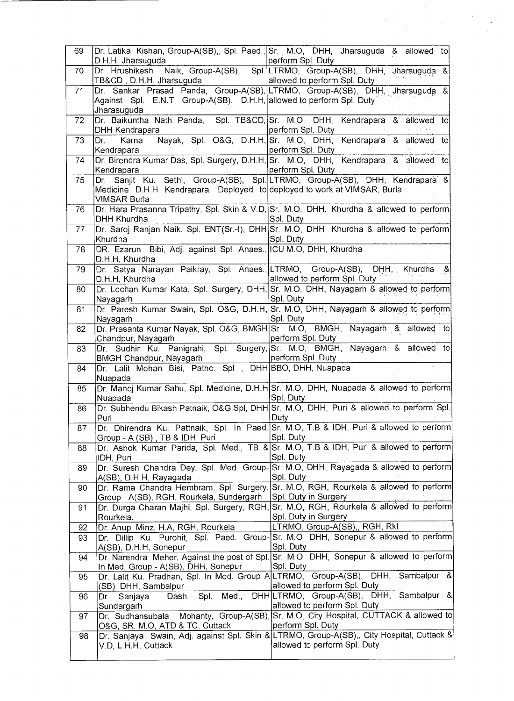| 69 | D.H.H, Jharsuguda                                                                        | Dr. Latika Kishan, Group-A(SB),, Spl. Paed., Sr. M.O, DHH, Jharsuguda & allowed to<br>perform Spl. Duty                   |
|----|------------------------------------------------------------------------------------------|---------------------------------------------------------------------------------------------------------------------------|
| 70 | Dr. Hrushikesh                                                                           | Naik, Group-A(SB), Spl. LTRMO, Group-A(SB), DHH, Jharsuguda &                                                             |
| 71 | TB&CD , D.H.H, Jharsugu <mark>da_____________</mark>                                     | allowed to perform Spl. Duty<br>Dr. Sankar Prasad Panda, Group-A(SB), LTRMO, Group-A(SB), DHH, Jharsuguda &               |
|    | Against Spl. E.N.T Group-A(SB), D.H.H, allowed to perform Spl. Duty<br>Jharasuguda       |                                                                                                                           |
| 72 | DHH Kendrapara                                                                           | Dr. Baikuntha Nath Panda, Spl. TB&CD, Sr. M.O, DHH, Kendrapara & allowed to<br>perform Spl. Duty                          |
| 73 | Karna<br>Dr. L<br>Kendrapara                                                             | Nayak, Spl. O&G, D.H.H.Sr. M.O., DHH, Kendrapara & allowed to<br>perform Spl. Duty                                        |
| 74 | Kendrapara                                                                               | Dr. Birendra Kumar Das, Spl. Surgery, D.H.H. Sr. M.O. DHH, Kendrapara & allowed to<br>perform Spl. Duty                   |
| 75 | Medicine D.H.H Kendrapara, Deployed to deployed to work at VIMSAR, Burla<br>VIMSAR Burla | Dr. Sanjit Ku. Sethi, Group-A(SB), Spl. LTRMO, Group-A(SB), DHH, Kendrapara &                                             |
| 76 | <b>DHH Khurdha</b>                                                                       | Dr. Hara Prasanna Tripathy, Spl. Skin & V.D, Sr. M.O, DHH, Khurdha & allowed to perform<br>Spl. Duty                      |
| 77 | Khurdha                                                                                  | Dr. Saroj Ranjan Naik, Spl. ENT(Sr.-I), DHH Sr. M.O, DHH, Khurdha & allowed to perform<br>Spl. Duty                       |
| 78 | DR. Ezarun Bibi, Adj. against Spl. Anaes., ICU M.O, DHH, Khurdha<br>D.H.H. Khurdha       |                                                                                                                           |
| 79 | D.H.H, Khurdha                                                                           | Dr. Satya Narayan Paikray, Spl. Anaes., LTRMO, Group-A(SB), DHH, Khurdha &<br>allowed to perform Spl. Duty                |
| 80 | Nayagarh                                                                                 | Dr. Lochan Kumar Kata, Spl. Surgery, DHH, Sr. M.O, DHH, Nayagarh & allowed to perform<br>Spl. Duty                        |
| 81 | Nayagarh                                                                                 | Dr. Paresh Kumar Swain, Spl. O&G, D.H.H. Sr. M.O, DHH, Nayagarh & allowed to perform<br>Spl. Duty                         |
| 82 | Chandpur, Nayagarh                                                                       | Dr. Prasanta Kumar Nayak, Spl. O&G, BMGH Sr. M.O, BMGH, Nayagarh & allowed to<br>perform Spl. Duty                        |
| 83 | BMGH Chandpur, Nayagarh                                                                  | Dr. Sudhir Ku. Panigrahi, Spl. Surgery, Sr. M.O, BMGH, Nayagarh & allowed to<br>perform Spl. Duty                         |
| 84 | Dr. Lalit Mohan Bisi, Patho. Spl , DHH BBO, DHH, Nuapada<br>Nuapada                      |                                                                                                                           |
| 85 | Nuapada                                                                                  | Dr. Manoj Kumar Sahu, Spl. Medicine, D.H.H Sr. M.O, DHH, Nuapada & allowed to perform<br>Spl. Duty                        |
| 86 | Puri                                                                                     | Dr. Subhendu Bikash Patnaik, O&G Spl, DHH Sr. M.O, DHH, Puri & allowed to perform Spl.<br>Duty                            |
| 87 | Group - A (SB), TB & IDH, Puri                                                           | Dr. Dhirendra Ku. Pattnaik, Spl. In Paed. Sr. M.O, T.B & IDH, Puri & allowed to perform<br>Spl. Duty                      |
| 88 | IDH, Puri                                                                                | Dr. Ashok Kumar Parida, Spl. Med., TB & Sr. M.O, T.B & IDH, Puri & allowed to perform<br>Spl. Duty                        |
| 89 | A(SB), D.H.H, Rayagada                                                                   | Dr. Suresh Chandra Dey, Spl. Med. Group-Sr. M.O, DHH, Rayagada & allowed to perform<br>Spl. Duty                          |
| 90 | Group - A(SB), RGH, Rourkela, Sundergarh                                                 | Dr. Rama Chandra Hembram, Spl. Surgery, Sr. M.O, RGH, Rourkela & allowed to perform<br>Spl. Duty in Surgery               |
| 91 | Rourkela.                                                                                | Dr. Durga Charan Majhi, Spl. Surgery, RGH, Sr. M.O, RGH, Rourkela & allowed to perform<br>Spl. Duty in Surgery            |
| 92 | Dr. Anup Minz, H.A, RGH, Rourkela                                                        | LTRMO, Group-A(SB),, RGH, RkI                                                                                             |
| 93 | A(SB), D.H.H, Sonepur                                                                    | Dr. Dillip Ku. Purohit, Spl. Paed. Group-Sr. M.O, DHH, Sonepur & allowed to perform<br>Spl. Duty                          |
| 94 | In Med. Group - A(SB), DHH, Sonepur                                                      | Dr. Narendra Meher, Against the post of Spl. Sr. M.O, DHH, Sonepur & allowed to perform<br>Spl. Duty                      |
| 95 | (SB), DHH, Sambalpur                                                                     | Dr. Lalit Ku. Pradhan, Spl. In Med. Group A LTRMO, Group-A(SB), DHH, Sambalpur &<br>allowed to perform Spl. Duty          |
| 96 | Spl. Med.,<br>Dr.<br>Sanjaya<br>Dash,<br>Sundargarh                                      | DHH LTRMO, Group-A(SB), DHH, Sambalpur &<br>allowed to perform Spl. Duty                                                  |
| 97 | Dr. Sudhansubala<br>O&G, SR. M.O, ATD & TC, Cuttack                                      | Mohanty, Group-A(SB), Sr. M.O, City Hospital, CUTTACK & allowed to<br>perform Spl. Duty                                   |
| 98 | V.D, L.H.H, Cuttack                                                                      | Dr. Sanjaya Swain, Adj. against Spl. Skin & LTRMO, Group-A(SB),, City Hospital, Cuttack &<br>allowed to perform Spl. Duty |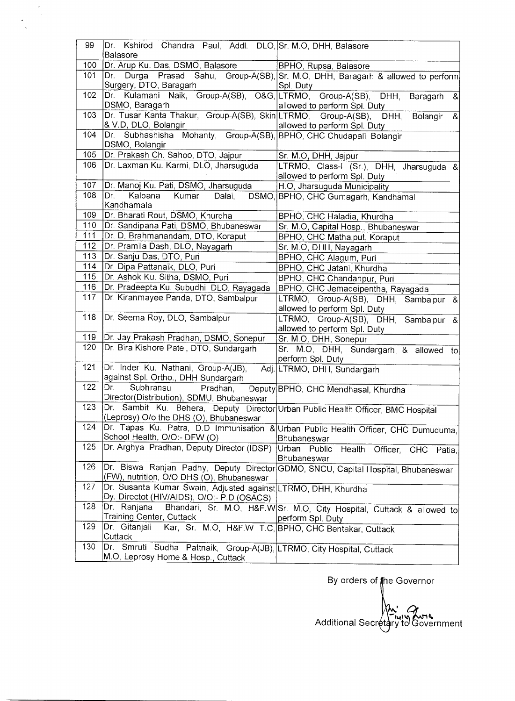| 99  | Dr. Kshirod Chandra Paul, Addl. DLO, Sr. M.O, DHH, Balasore                                |                                                                                              |
|-----|--------------------------------------------------------------------------------------------|----------------------------------------------------------------------------------------------|
|     | Balasore                                                                                   |                                                                                              |
| 100 | Dr. Arup Ku. Das, DSMO, Balasore                                                           | BPHO, Rupsa, Balasore                                                                        |
| 101 | Surgery, DTO, Baragarh                                                                     | Dr. Durga Prasad Sahu, Group-A(SB), Sr. M.O, DHH, Baragarh & allowed to perform<br>Spl. Duty |
| 102 | Kulamani Naik, Group-A(SB), O&G, LTRMO, Group-A(SB), DHH,<br>Dr.<br>DSMO, Baragarh         | Baragarh<br>$\mathbf{g}$<br>allowed to perform Spl. Duty                                     |
| 103 | Dr. Tusar Kanta Thakur, Group-A(SB), Skin LTRMO, Group-A(SB), DHH,<br>& V.D, DLO, Bolangir | Bolangir &<br>allowed to perform Spl. Duty                                                   |
| 104 | Dr. Subhashisha Mohanty, Group-A(SB), BPHO, CHC Chudapali, Bolangir<br>DSMO, Bolangir      |                                                                                              |
| 105 | Dr. Prakash Ch. Sahoo, DTO, Jajpur                                                         | Sr. M.O, DHH, Jajpur                                                                         |
| 106 | Dr. Laxman Ku. Karmi, DLO, Jharsuguda                                                      | LTRMO, Class-I (Sr.), DHH, Jharsuguda &                                                      |
|     |                                                                                            | allowed to perform Spl. Duty                                                                 |
| 107 | Dr. Manoj Ku. Pati, DSMO, Jharsuguda                                                       | H.O, Jharsuguda Municipality                                                                 |
| 108 | Kalpana<br>Kumari Dalai,<br>Dr.                                                            | DSMO, BPHO, CHC Gumagarh, Kandhamal                                                          |
|     | Kandhamala                                                                                 |                                                                                              |
| 109 | Dr. Bharati Rout, DSMO, Khurdha                                                            | BPHO, CHC Haladia, Khurdha                                                                   |
| 110 | Dr. Sandipana Pati, DSMO, Bhubaneswar                                                      | Sr. M.O, Capital Hosp., Bhubaneswar                                                          |
| 111 | Dr. D. Brahmanandam, DTO, Koraput                                                          | BPHO, CHC Mathalput, Koraput                                                                 |
| 112 | Dr. Pramila Dash, DLO, Nayagarh                                                            | Sr. M.O, DHH, Nayagarh                                                                       |
| 113 | Dr. Sanju Das, DTO, Puri                                                                   | BPHO, CHC Alagum, Puri                                                                       |
| 114 | Dr. Dipa Pattanaik, DLO, Puri                                                              | BPHO, CHC Jatani, Khurdha                                                                    |
| 115 | Dr. Ashok Ku. Sitha, DSMO, Puri                                                            | BPHO, CHC Chandanpur, Puri                                                                   |
| 116 | Dr. Pradeepta Ku. Subudhi, DLO, Rayagada                                                   | BPHO, CHC Jemadeipentha, Rayagada                                                            |
| 117 | Dr. Kiranmayee Panda, DTO, Sambalpur                                                       | LTRMO, Group-A(SB), DHH, Sambalpur &                                                         |
|     |                                                                                            | allowed to perform Spl. Duty                                                                 |
| 118 | Dr. Seema Roy, DLO, Sambalpur                                                              | LTRMO, Group-A(SB), DHH, Sambalpur &                                                         |
|     |                                                                                            | allowed to perform Spl. Duty                                                                 |
| 119 | Dr. Jay Prakash Pradhan, DSMO, Sonepur                                                     | Sr. M.O, DHH, Sonepur                                                                        |
| 120 | Dr. Bira Kishore Patel, DTO, Sundargarh                                                    | Sr. M.O, DHH, Sundargarh & allowed to<br>perform Spl. Duty                                   |
| 121 | Dr. Inder Ku. Nathani, Group-A(JB),                                                        | Adj. LTRMO, DHH, Sundargarh                                                                  |
|     | against Spl. Ortho., DHH Sundargarh                                                        |                                                                                              |
| 122 | Dr.<br>Subhransu<br>Pradhan,                                                               | Deputy BPHO, CHC Mendhasal, Khurdha                                                          |
|     | Director(Distribution), SDMU, Bhubaneswar                                                  |                                                                                              |
| 123 | Dr. Sambit Ku. Behera, Deputy Director Urban Public Health Officer, BMC Hospital           |                                                                                              |
|     | (Leprosy) O/o the DHS (O), Bhubaneswar                                                     |                                                                                              |
| 124 |                                                                                            | Dr. Tapas Ku. Patra, D.D Immunisation & Urban Public Health Officer, CHC Dumuduma,           |
|     | School Health, O/O:- DFW (O)                                                               | <b>Bhubaneswar</b>                                                                           |
| 125 | Dr. Arghya Pradhan, Deputy Director (IDSP)                                                 | Urban Public<br>Health Officer, CHC Patia,<br>Bhubaneswar                                    |
| 126 | (FW), nutrition, O/O DHS (O), Bhubaneswar                                                  | Dr. Biswa Ranjan Padhy, Deputy Director GDMO, SNCU, Capital Hospital, Bhubaneswar            |
| 127 | Dr. Susanta Kumar Swain, Adjusted against LTRMO, DHH, Khurdha                              |                                                                                              |
|     | Dy. Directot (HIV/AIDS), O/O - P.D (OSACS)                                                 |                                                                                              |
| 128 | Dr. Ranjana                                                                                | Bhandari, Sr. M.O, H&F.W Sr. M.O, City Hospital, Cuttack & allowed to                        |
|     | Training Center, Cuttack                                                                   | perform Spl. Duty                                                                            |
| 129 | Dr. Gitanjali                                                                              | Kar, Sr. M.O, H&F.W T.C, BPHO, CHC Bentakar, Cuttack                                         |
|     | Cuttack                                                                                    |                                                                                              |
| 130 | Dr. Smruti Sudha Pattnaik, Group-A(JB), LTRMO, City Hospital, Cuttack                      |                                                                                              |
|     | M.O, Leprosy Home & Hosp., Cuttack                                                         |                                                                                              |

 $\frac{1}{\sqrt{2}}$  $\mathbb{Z}^{\mathbb{Z}}$  $\ddot{\phantom{0}}$ 

By orders of the Governor Additional Secretary to Government